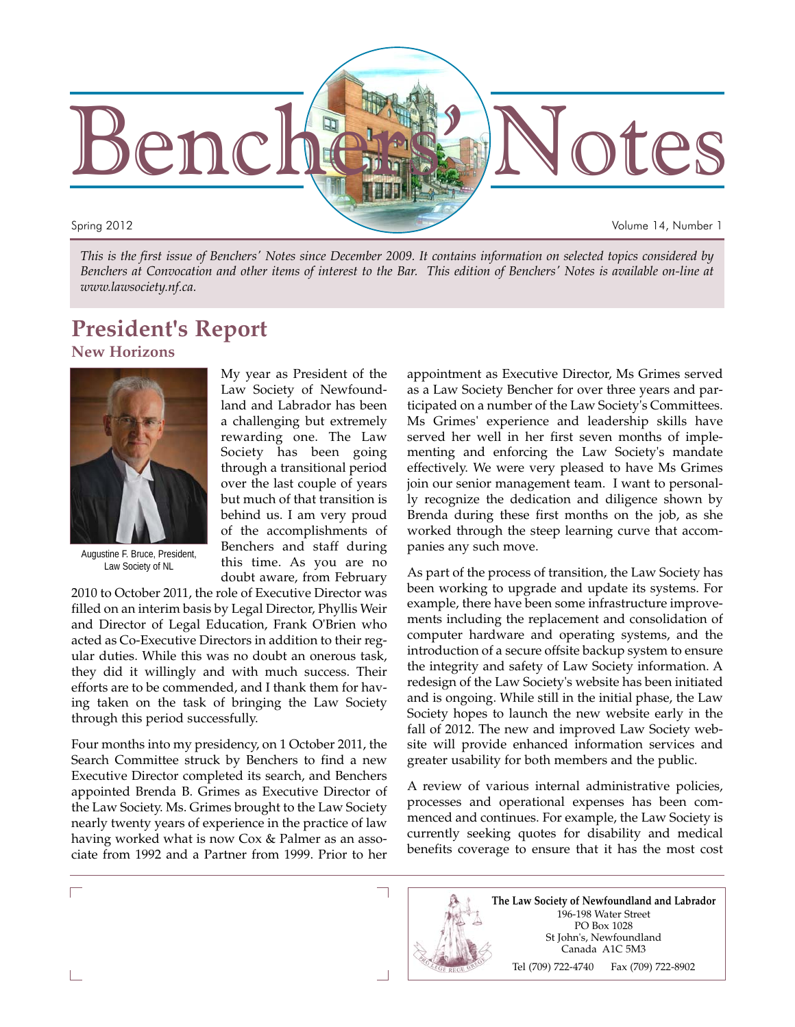

*This is the first issue of Benchers' Notes since December 2009. It contains information on selected topics considered by Benchers at Convocation and other items of interest to the Bar. This edition of Benchers' Notes is available on-line at www.lawsociety.nf.ca.*

# **President's Report**

**New Horizons**



Augustine F. Bruce, President, Law Society of NL

My year as President of the Law Society of Newfoundland and Labrador has been a challenging but extremely rewarding one. The Law Society has been going through a transitional period over the last couple of years but much of that transition is behind us. I am very proud of the accomplishments of Benchers and staff during this time. As you are no doubt aware, from February

2010 to October 2011, the role of Executive Director was filled on an interim basis by Legal Director, Phyllis Weir and Director of Legal Education, Frank O'Brien who acted as Co-Executive Directors in addition to their regular duties. While this was no doubt an onerous task, they did it willingly and with much success. Their efforts are to be commended, and I thank them for having taken on the task of bringing the Law Society through this period successfully.

Four months into my presidency, on 1 October 2011, the Search Committee struck by Benchers to find a new Executive Director completed its search, and Benchers appointed Brenda B. Grimes as Executive Director of the Law Society. Ms. Grimes brought to the Law Society nearly twenty years of experience in the practice of law having worked what is now Cox & Palmer as an associate from 1992 and a Partner from 1999. Prior to her

appointment as Executive Director, Ms Grimes served as a Law Society Bencher for over three years and participated on a number of the Law Society's Committees. Ms Grimes' experience and leadership skills have served her well in her first seven months of implementing and enforcing the Law Society's mandate effectively. We were very pleased to have Ms Grimes join our senior management team. I want to personally recognize the dedication and diligence shown by Brenda during these first months on the job, as she worked through the steep learning curve that accompanies any such move.

As part of the process of transition, the Law Society has been working to upgrade and update its systems. For example, there have been some infrastructure improvements including the replacement and consolidation of computer hardware and operating systems, and the introduction of a secure offsite backup system to ensure the integrity and safety of Law Society information. A redesign of the Law Society's website has been initiated and is ongoing. While still in the initial phase, the Law Society hopes to launch the new website early in the fall of 2012. The new and improved Law Society website will provide enhanced information services and greater usability for both members and the public.

A review of various internal administrative policies, processes and operational expenses has been commenced and continues. For example, the Law Society is currently seeking quotes for disability and medical benefits coverage to ensure that it has the most cost

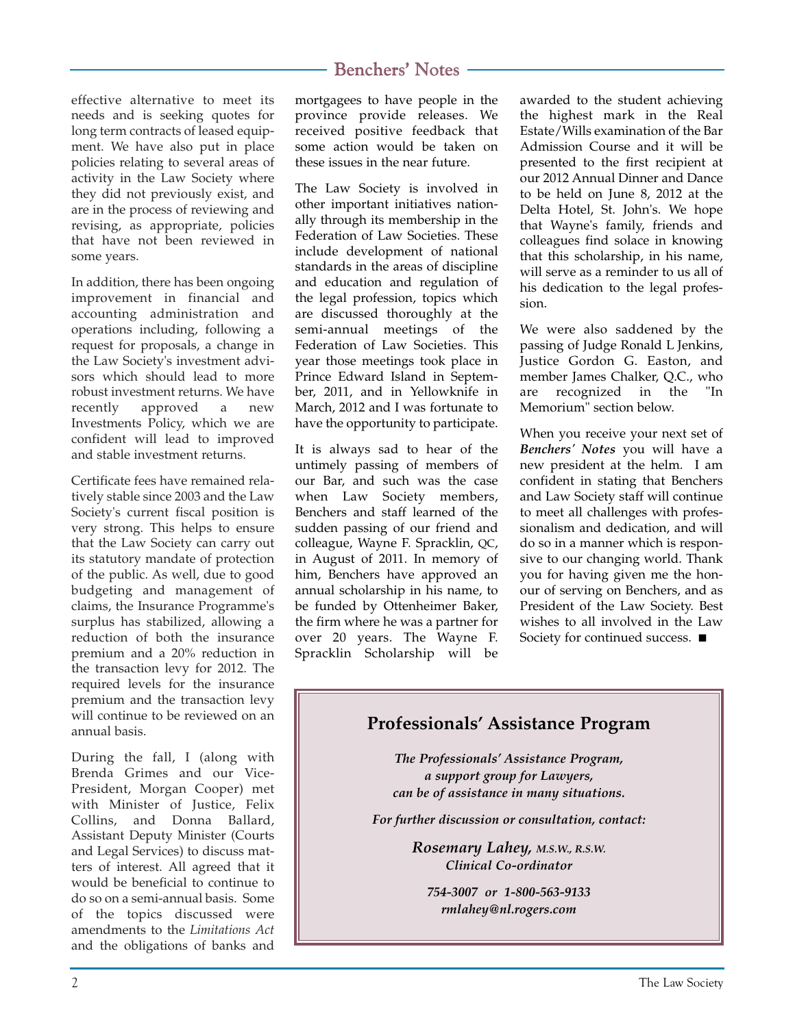effective alternative to meet its needs and is seeking quotes for long term contracts of leased equipment. We have also put in place policies relating to several areas of activity in the Law Society where they did not previously exist, and are in the process of reviewing and revising, as appropriate, policies that have not been reviewed in some years.

In addition, there has been ongoing improvement in financial and accounting administration and operations including, following a request for proposals, a change in the Law Society's investment advisors which should lead to more robust investment returns. We have recently approved a new Investments Policy, which we are confident will lead to improved and stable investment returns.

Certificate fees have remained relatively stable since 2003 and the Law Society's current fiscal position is very strong. This helps to ensure that the Law Society can carry out its statutory mandate of protection of the public. As well, due to good budgeting and management of claims, the Insurance Programme's surplus has stabilized, allowing a reduction of both the insurance premium and a 20% reduction in the transaction levy for 2012. The required levels for the insurance premium and the transaction levy will continue to be reviewed on an annual basis.

During the fall, I (along with Brenda Grimes and our Vice-President, Morgan Cooper) met with Minister of Justice, Felix Collins, and Donna Ballard, Assistant Deputy Minister (Courts and Legal Services) to discuss matters of interest. All agreed that it would be beneficial to continue to do so on a semi-annual basis. Some of the topics discussed were amendments to the *Limitations Act* and the obligations of banks and

mortgagees to have people in the province provide releases. We received positive feedback that some action would be taken on these issues in the near future.

The Law Society is involved in other important initiatives nationally through its membership in the Federation of Law Societies. These include development of national standards in the areas of discipline and education and regulation of the legal profession, topics which are discussed thoroughly at the semi-annual meetings of the Federation of Law Societies. This year those meetings took place in Prince Edward Island in September, 2011, and in Yellowknife in March, 2012 and I was fortunate to have the opportunity to participate.

It is always sad to hear of the untimely passing of members of our Bar, and such was the case when Law Society members, Benchers and staff learned of the sudden passing of our friend and colleague, Wayne F. Spracklin, QC, in August of 2011. In memory of him, Benchers have approved an annual scholarship in his name, to be funded by Ottenheimer Baker, the firm where he was a partner for over 20 years. The Wayne F. Spracklin Scholarship will be awarded to the student achieving the highest mark in the Real Estate/Wills examination of the Bar Admission Course and it will be presented to the first recipient at our 2012 Annual Dinner and Dance to be held on June 8, 2012 at the Delta Hotel, St. John's. We hope that Wayne's family, friends and colleagues find solace in knowing that this scholarship, in his name, will serve as a reminder to us all of his dedication to the legal profession.

We were also saddened by the passing of Judge Ronald L Jenkins, Justice Gordon G. Easton, and member James Chalker, Q.C., who are recognized in the "In Memorium" section below.

When you receive your next set of *Benchers' Notes* you will have a new president at the helm. I am confident in stating that Benchers and Law Society staff will continue to meet all challenges with professionalism and dedication, and will do so in a manner which is responsive to our changing world. Thank you for having given me the honour of serving on Benchers, and as President of the Law Society. Best wishes to all involved in the Law Society for continued success. ■

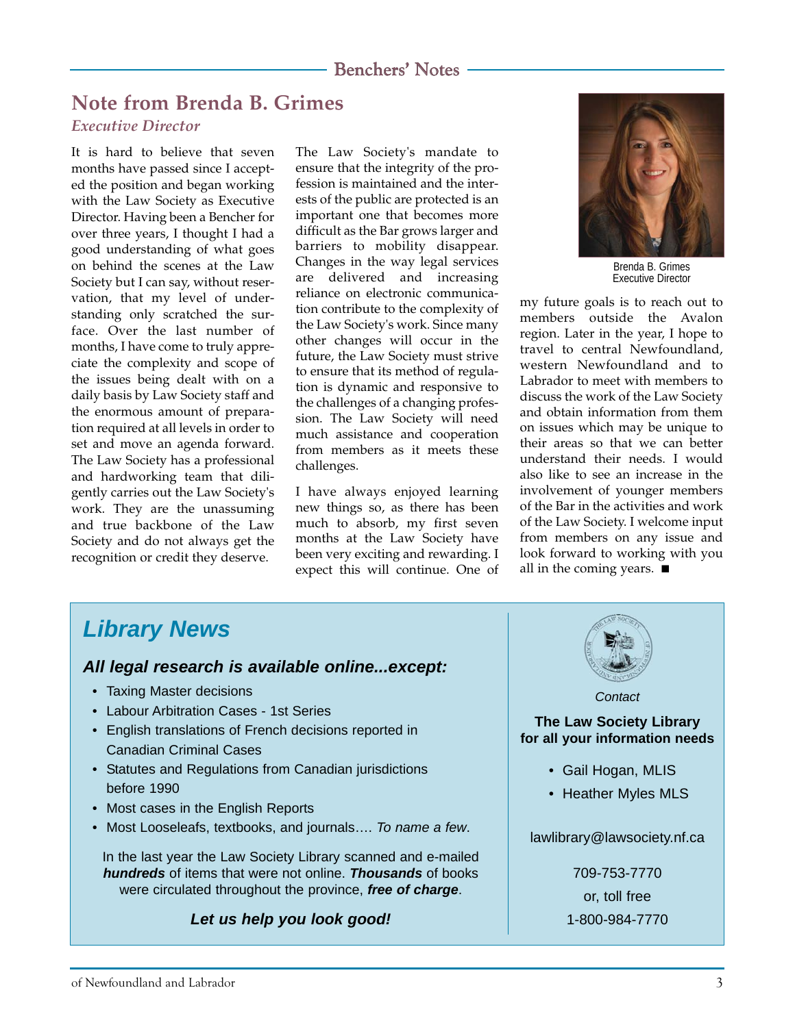# **Note from Brenda B. Grimes**

#### *Executive Director*

It is hard to believe that seven months have passed since I accepted the position and began working with the Law Society as Executive Director. Having been a Bencher for over three years, I thought I had a good understanding of what goes on behind the scenes at the Law Society but I can say, without reservation, that my level of understanding only scratched the surface. Over the last number of months, I have come to truly appreciate the complexity and scope of the issues being dealt with on a daily basis by Law Society staff and the enormous amount of preparation required at all levels in order to set and move an agenda forward. The Law Society has a professional and hardworking team that diligently carries out the Law Society's work. They are the unassuming and true backbone of the Law Society and do not always get the recognition or credit they deserve.

The Law Society's mandate to ensure that the integrity of the profession is maintained and the interests of the public are protected is an important one that becomes more difficult as the Bar grows larger and barriers to mobility disappear. Changes in the way legal services are delivered and increasing reliance on electronic communication contribute to the complexity of the Law Society's work. Since many other changes will occur in the future, the Law Society must strive to ensure that its method of regulation is dynamic and responsive to the challenges of a changing profession. The Law Society will need much assistance and cooperation from members as it meets these challenges.

I have always enjoyed learning new things so, as there has been much to absorb, my first seven months at the Law Society have been very exciting and rewarding. I expect this will continue. One of



Brenda B. Grimes Executive Director

my future goals is to reach out to members outside the Avalon region. Later in the year, I hope to travel to central Newfoundland, western Newfoundland and to Labrador to meet with members to discuss the work of the Law Society and obtain information from them on issues which may be unique to their areas so that we can better understand their needs. I would also like to see an increase in the involvement of younger members of the Bar in the activities and work of the Law Society. I welcome input from members on any issue and look forward to working with you all in the coming years. ■

# *Library News*

#### *All legal research is available online...except:*

- Taxing Master decisions
- Labour Arbitration Cases 1st Series
- English translations of French decisions reported in Canadian Criminal Cases
- Statutes and Regulations from Canadian jurisdictions before 1990
- Most cases in the English Reports
- Most Looseleafs, textbooks, and journals…. *To name a few*.

In the last year the Law Society Library scanned and e-mailed *hundreds* of items that were not online. *Thousands* of books were circulated throughout the province, *free of charge*.

#### *Let us help you look good!*

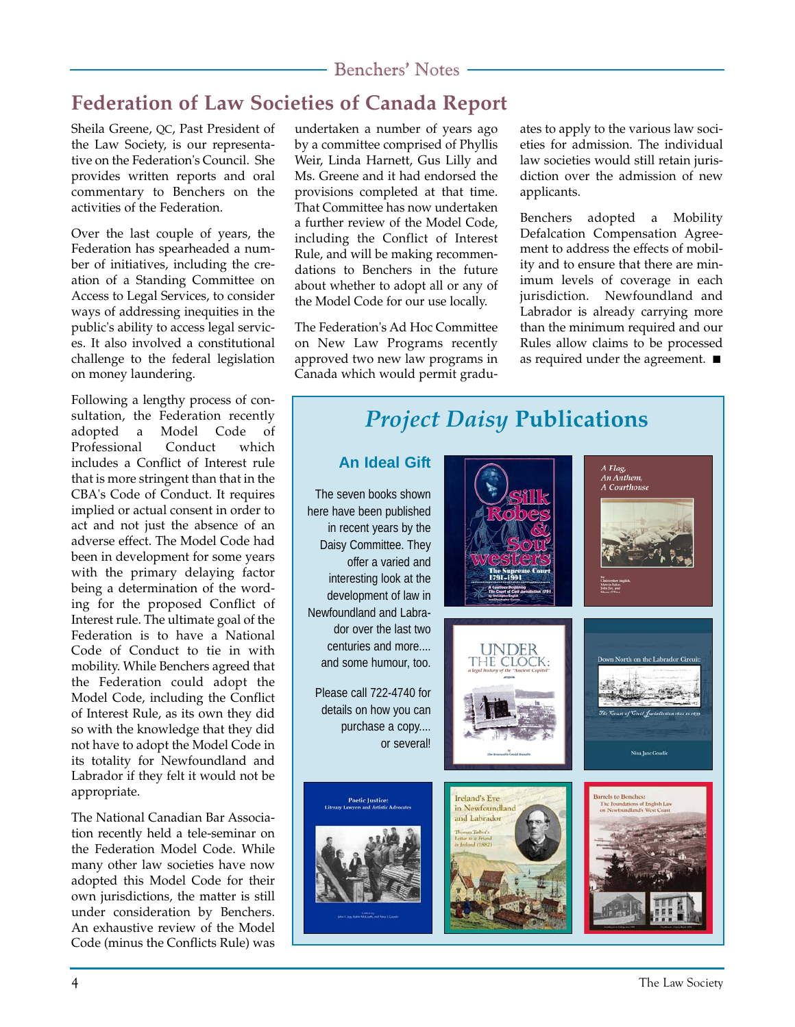# **Federation of Law Societies of Canada Report**

Sheila Greene, QC, Past President of the Law Society, is our representative on the Federation's Council. She provides written reports and oral commentary to Benchers on the activities of the Federation.

Over the last couple of years, the Federation has spearheaded a number of initiatives, including the creation of a Standing Committee on Access to Legal Services, to consider ways of addressing inequities in the public's ability to access legal services. It also involved a constitutional challenge to the federal legislation on money laundering.

Following a lengthy process of consultation, the Federation recently adopted a Model Code of Professional Conduct which includes a Conflict of Interest rule that is more stringent than that in the CBA's Code of Conduct. It requires implied or actual consent in order to act and not just the absence of an adverse effect. The Model Code had been in development for some years with the primary delaying factor being a determination of the wording for the proposed Conflict of Interest rule. The ultimate goal of the Federation is to have a National Code of Conduct to tie in with mobility. While Benchers agreed that the Federation could adopt the Model Code, including the Conflict of Interest Rule, as its own they did so with the knowledge that they did not have to adopt the Model Code in its totality for Newfoundland and Labrador if they felt it would not be appropriate.

The National Canadian Bar Association recently held a tele-seminar on the Federation Model Code. While many other law societies have now adopted this Model Code for their own jurisdictions, the matter is still under consideration by Benchers. An exhaustive review of the Model Code (minus the Conflicts Rule) was undertaken a number of years ago by a committee comprised of Phyllis Weir, Linda Harnett, Gus Lilly and Ms. Greene and it had endorsed the provisions completed at that time. That Committee has now undertaken a further review of the Model Code, including the Conflict of Interest Rule, and will be making recommendations to Benchers in the future about whether to adopt all or any of the Model Code for our use locally.

The Federation's Ad Hoc Committee on New Law Programs recently approved two new law programs in Canada which would permit graduates to apply to the various law societies for admission. The individual law societies would still retain jurisdiction over the admission of new applicants.

Benchers adopted a Mobility Defalcation Compensation Agreement to address the effects of mobility and to ensure that there are minimum levels of coverage in each jurisdiction. Newfoundland and Labrador is already carrying more than the minimum required and our Rules allow claims to be processed as required under the agreement. ■

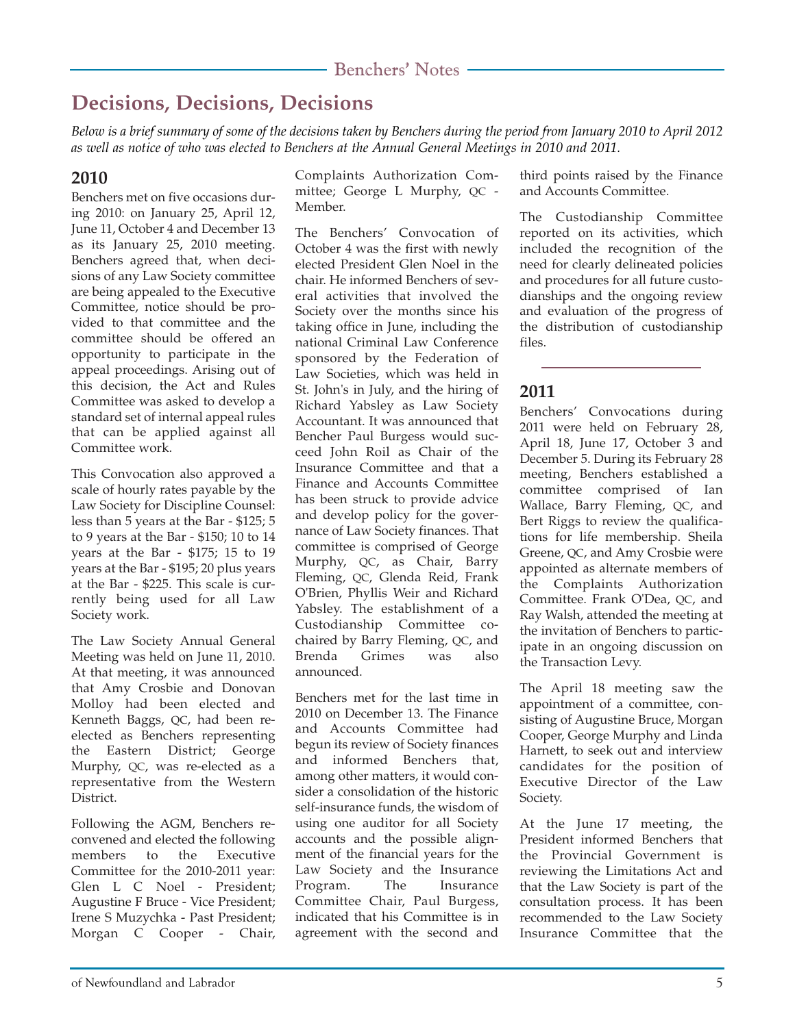# **Decisions, Decisions, Decisions**

*Below is a brief summary of some of the decisions taken by Benchers during the period from January 2010 to April 2012 as well as notice of who was elected to Benchers at the Annual General Meetings in 2010 and 2011.*

#### **2010**

Benchers met on five occasions during 2010: on January 25, April 12, June 11, October 4 and December 13 as its January 25, 2010 meeting. Benchers agreed that, when decisions of any Law Society committee are being appealed to the Executive Committee, notice should be provided to that committee and the committee should be offered an opportunity to participate in the appeal proceedings. Arising out of this decision, the Act and Rules Committee was asked to develop a standard set of internal appeal rules that can be applied against all Committee work.

This Convocation also approved a scale of hourly rates payable by the Law Society for Discipline Counsel: less than 5 years at the Bar - \$125; 5 to 9 years at the Bar - \$150; 10 to 14 years at the Bar - \$175; 15 to 19 years at the Bar - \$195; 20 plus years at the Bar - \$225. This scale is currently being used for all Law Society work.

The Law Society Annual General Meeting was held on June 11, 2010. At that meeting, it was announced that Amy Crosbie and Donovan Molloy had been elected and Kenneth Baggs, QC, had been reelected as Benchers representing the Eastern District; George Murphy, QC, was re-elected as a representative from the Western District.

Following the AGM, Benchers reconvened and elected the following members to the Executive Committee for the 2010-2011 year: Glen L C Noel - President; Augustine F Bruce - Vice President; Irene S Muzychka - Past President; Morgan C Cooper - Chair,

Complaints Authorization Committee; George L Murphy, QC - Member.

The Benchers' Convocation of October 4 was the first with newly elected President Glen Noel in the chair. He informed Benchers of several activities that involved the Society over the months since his taking office in June, including the national Criminal Law Conference sponsored by the Federation of Law Societies, which was held in St. John's in July, and the hiring of Richard Yabsley as Law Society Accountant. It was announced that Bencher Paul Burgess would succeed John Roil as Chair of the Insurance Committee and that a Finance and Accounts Committee has been struck to provide advice and develop policy for the governance of Law Society finances. That committee is comprised of George Murphy, QC, as Chair, Barry Fleming, QC, Glenda Reid, Frank O'Brien, Phyllis Weir and Richard Yabsley. The establishment of a Custodianship Committee cochaired by Barry Fleming, QC, and Brenda Grimes was also announced.

Benchers met for the last time in 2010 on December 13. The Finance and Accounts Committee had begun its review of Society finances and informed Benchers that, among other matters, it would consider a consolidation of the historic self-insurance funds, the wisdom of using one auditor for all Society accounts and the possible alignment of the financial years for the Law Society and the Insurance Program. The Insurance Committee Chair, Paul Burgess, indicated that his Committee is in agreement with the second and third points raised by the Finance and Accounts Committee.

The Custodianship Committee reported on its activities, which included the recognition of the need for clearly delineated policies and procedures for all future custodianships and the ongoing review and evaluation of the progress of the distribution of custodianship files.

## **2011**

Benchers' Convocations during 2011 were held on February 28, April 18, June 17, October 3 and December 5. During its February 28 meeting, Benchers established a committee comprised of Ian Wallace, Barry Fleming, QC, and Bert Riggs to review the qualifications for life membership. Sheila Greene, QC, and Amy Crosbie were appointed as alternate members of the Complaints Authorization Committee. Frank O'Dea, QC, and Ray Walsh, attended the meeting at the invitation of Benchers to participate in an ongoing discussion on the Transaction Levy.

The April 18 meeting saw the appointment of a committee, consisting of Augustine Bruce, Morgan Cooper, George Murphy and Linda Harnett, to seek out and interview candidates for the position of Executive Director of the Law Society.

At the June 17 meeting, the President informed Benchers that the Provincial Government is reviewing the Limitations Act and that the Law Society is part of the consultation process. It has been recommended to the Law Society Insurance Committee that the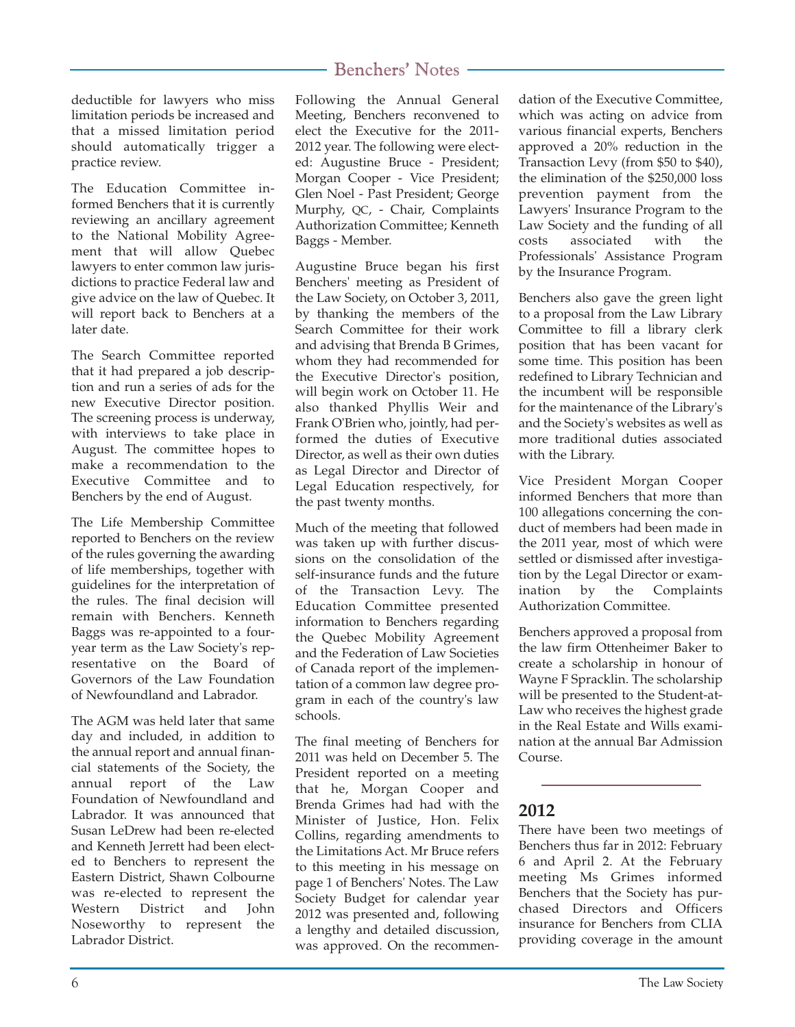deductible for lawyers who miss limitation periods be increased and that a missed limitation period should automatically trigger a practice review.

The Education Committee informed Benchers that it is currently reviewing an ancillary agreement to the National Mobility Agreement that will allow Quebec lawyers to enter common law jurisdictions to practice Federal law and give advice on the law of Quebec. It will report back to Benchers at a later date.

The Search Committee reported that it had prepared a job description and run a series of ads for the new Executive Director position. The screening process is underway, with interviews to take place in August. The committee hopes to make a recommendation to the Executive Committee and to Benchers by the end of August.

The Life Membership Committee reported to Benchers on the review of the rules governing the awarding of life memberships, together with guidelines for the interpretation of the rules. The final decision will remain with Benchers. Kenneth Baggs was re-appointed to a fouryear term as the Law Society's representative on the Board of Governors of the Law Foundation of Newfoundland and Labrador.

The AGM was held later that same day and included, in addition to the annual report and annual financial statements of the Society, the annual report of the Law Foundation of Newfoundland and Labrador. It was announced that Susan LeDrew had been re-elected and Kenneth Jerrett had been elected to Benchers to represent the Eastern District, Shawn Colbourne was re-elected to represent the Western District and John Noseworthy to represent the Labrador District.

## Benchers' Notes

Following the Annual General Meeting, Benchers reconvened to elect the Executive for the 2011- 2012 year. The following were elected: Augustine Bruce - President; Morgan Cooper - Vice President; Glen Noel - Past President; George Murphy, QC, - Chair, Complaints Authorization Committee; Kenneth Baggs - Member.

Augustine Bruce began his first Benchers' meeting as President of the Law Society, on October 3, 2011, by thanking the members of the Search Committee for their work and advising that Brenda B Grimes, whom they had recommended for the Executive Director's position, will begin work on October 11. He also thanked Phyllis Weir and Frank O'Brien who, jointly, had performed the duties of Executive Director, as well as their own duties as Legal Director and Director of Legal Education respectively, for the past twenty months.

Much of the meeting that followed was taken up with further discussions on the consolidation of the self-insurance funds and the future of the Transaction Levy. The Education Committee presented information to Benchers regarding the Quebec Mobility Agreement and the Federation of Law Societies of Canada report of the implementation of a common law degree program in each of the country's law schools.

The final meeting of Benchers for 2011 was held on December 5. The President reported on a meeting that he, Morgan Cooper and Brenda Grimes had had with the Minister of Justice, Hon. Felix Collins, regarding amendments to the Limitations Act. Mr Bruce refers to this meeting in his message on page 1 of Benchers' Notes. The Law Society Budget for calendar year 2012 was presented and, following a lengthy and detailed discussion, was approved. On the recommendation of the Executive Committee, which was acting on advice from various financial experts, Benchers approved a 20% reduction in the Transaction Levy (from \$50 to \$40), the elimination of the \$250,000 loss prevention payment from the Lawyers' Insurance Program to the Law Society and the funding of all costs associated with the Professionals' Assistance Program by the Insurance Program.

Benchers also gave the green light to a proposal from the Law Library Committee to fill a library clerk position that has been vacant for some time. This position has been redefined to Library Technician and the incumbent will be responsible for the maintenance of the Library's and the Society's websites as well as more traditional duties associated with the Library.

Vice President Morgan Cooper informed Benchers that more than 100 allegations concerning the conduct of members had been made in the 2011 year, most of which were settled or dismissed after investigation by the Legal Director or examination by the Complaints Authorization Committee.

Benchers approved a proposal from the law firm Ottenheimer Baker to create a scholarship in honour of Wayne F Spracklin. The scholarship will be presented to the Student-at-Law who receives the highest grade in the Real Estate and Wills examination at the annual Bar Admission Course.

#### **2012**

There have been two meetings of Benchers thus far in 2012: February 6 and April 2. At the February meeting Ms Grimes informed Benchers that the Society has purchased Directors and Officers insurance for Benchers from CLIA providing coverage in the amount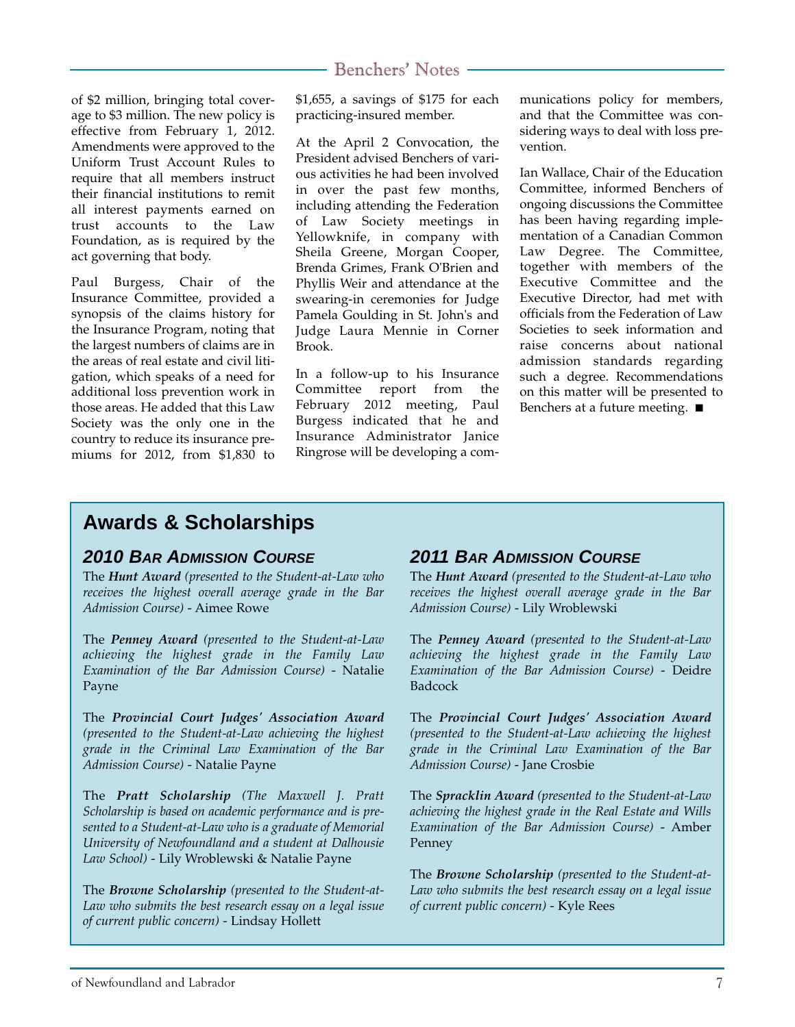of \$2 million, bringing total coverage to \$3 million. The new policy is effective from February 1, 2012. Amendments were approved to the Uniform Trust Account Rules to require that all members instruct their financial institutions to remit all interest payments earned on trust accounts to the Law Foundation, as is required by the act governing that body.

Paul Burgess, Chair of the Insurance Committee, provided a synopsis of the claims history for the Insurance Program, noting that the largest numbers of claims are in the areas of real estate and civil litigation, which speaks of a need for additional loss prevention work in those areas. He added that this Law Society was the only one in the country to reduce its insurance premiums for 2012, from \$1,830 to \$1,655, a savings of \$175 for each practicing-insured member.

At the April 2 Convocation, the President advised Benchers of various activities he had been involved in over the past few months, including attending the Federation of Law Society meetings in Yellowknife, in company with Sheila Greene, Morgan Cooper, Brenda Grimes, Frank O'Brien and Phyllis Weir and attendance at the swearing-in ceremonies for Judge Pamela Goulding in St. John's and Judge Laura Mennie in Corner Brook.

In a follow-up to his Insurance Committee report from the February 2012 meeting, Paul Burgess indicated that he and Insurance Administrator Janice Ringrose will be developing a communications policy for members, and that the Committee was considering ways to deal with loss prevention.

Ian Wallace, Chair of the Education Committee, informed Benchers of ongoing discussions the Committee has been having regarding implementation of a Canadian Common Law Degree. The Committee, together with members of the Executive Committee and the Executive Director, had met with officials from the Federation of Law Societies to seek information and raise concerns about national admission standards regarding such a degree. Recommendations on this matter will be presented to Benchers at a future meeting. ■

# **Awards & Scholarships**

#### *2010 BAR ADMISSION COURSE*

The *Hunt Award (presented to the Student-at-Law who receives the highest overall average grade in the Bar Admission Course)* - Aimee Rowe

The *Penney Award (presented to the Student-at-Law achieving the highest grade in the Family Law Examination of the Bar Admission Course)* - Natalie Payne

The *Provincial Court Judges' Association Award (presented to the Student-at-Law achieving the highest grade in the Criminal Law Examination of the Bar Admission Course)* - Natalie Payne

The *Pratt Scholarship (The Maxwell J. Pratt Scholarship is based on academic performance and is presented to a Student-at-Law who is a graduate of Memorial University of Newfoundland and a student at Dalhousie Law School)* - Lily Wroblewski & Natalie Payne

The *Browne Scholarship (presented to the Student-at-Law who submits the best research essay on a legal issue of current public concern)* - Lindsay Hollett

#### *2011 BAR ADMISSION COURSE*

The *Hunt Award (presented to the Student-at-Law who receives the highest overall average grade in the Bar Admission Course)* - Lily Wroblewski

The *Penney Award (presented to the Student-at-Law achieving the highest grade in the Family Law Examination of the Bar Admission Course)* - Deidre Badcock

The *Provincial Court Judges' Association Award (presented to the Student-at-Law achieving the highest grade in the Criminal Law Examination of the Bar Admission Course)* - Jane Crosbie

The *Spracklin Award (presented to the Student-at-Law achieving the highest grade in the Real Estate and Wills Examination of the Bar Admission Course)* - Amber Penney

The *Browne Scholarship (presented to the Student-at-Law who submits the best research essay on a legal issue of current public concern)* - Kyle Rees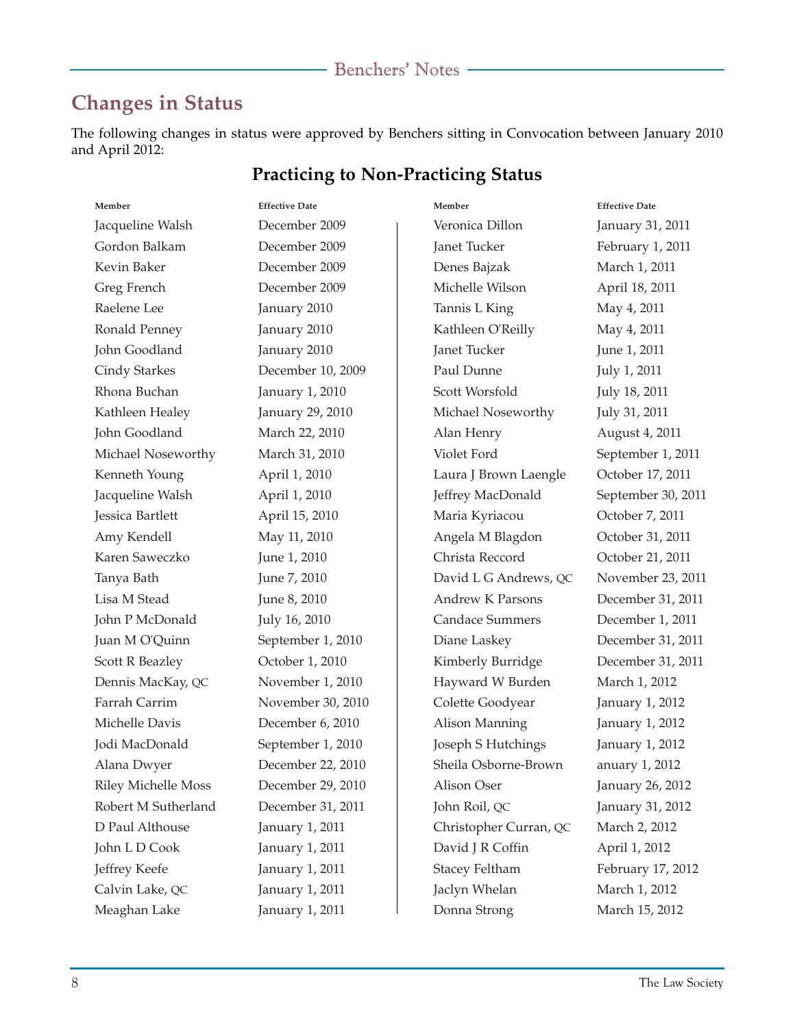# **Changes in Status**

The following changes in status were approved by Benchers sitting in Convocation between January 2010 and April 2012:

#### **Practicing to Non-Practicing Status**

| Member                     | <b>Effective Date</b> |  |
|----------------------------|-----------------------|--|
| Jacqueline Walsh           | December 2009         |  |
| Gordon Balkam              | December 2009         |  |
| Kevin Baker                | December 2009         |  |
| Greg French                | December 2009         |  |
| Raelene Lee                | January 2010          |  |
| Ronald Penney              | January 2010          |  |
| John Goodland              | January 2010          |  |
| Cindy Starkes              | December 10, 2009     |  |
| Rhona Buchan               | January 1, 2010       |  |
| Kathleen Healey            | January 29, 2010      |  |
| John Goodland              | March 22, 2010        |  |
| Michael Noseworthy         | March 31, 2010        |  |
| Kenneth Young              | April 1, 2010         |  |
| Jacqueline Walsh           | April 1, 2010         |  |
| Jessica Bartlett           | April 15, 2010        |  |
| Amy Kendell                | May 11, 2010          |  |
| Karen Saweczko             | June 1, 2010          |  |
| Tanya Bath                 | June 7, 2010          |  |
| Lisa M Stead               | June 8, 2010          |  |
| John P McDonald            | July 16, 2010         |  |
| Juan M O'Quinn             | September 1, 2010     |  |
| Scott R Beazley            | October 1, 2010       |  |
| Dennis MacKay, QC          | November 1, 2010      |  |
| Farrah Carrim              | November 30, 2010     |  |
| Michelle Davis             | December 6, 2010      |  |
| Jodi MacDonald             | September 1, 2010     |  |
| Alana Dwyer                | December 22, 2010     |  |
| <b>Riley Michelle Moss</b> | December 29, 2010     |  |
| Robert M Sutherland        | December 31, 2011     |  |
| D Paul Althouse            | January 1, 2011       |  |
| John L D Cook              | January 1, 2011       |  |
| Jeffrey Keefe              | January 1, 2011       |  |
| Calvin Lake, QC            | January 1, 2011       |  |
| Meaghan Lake               | January 1, 2011       |  |

| Member                  | <b>Effective Date</b> |
|-------------------------|-----------------------|
| Veronica Dillon         | January 31, 2011      |
| Janet Tucker            | February 1, 2011      |
| Denes Bajzak            | March 1, 2011         |
| Michelle Wilson         | April 18, 2011        |
| Tannis L King           | May 4, 2011           |
| Kathleen O'Reilly       | May 4, 2011           |
| Janet Tucker            | June 1, 2011          |
| Paul Dunne              | July 1, 2011          |
| Scott Worsfold          | July 18, 2011         |
| Michael Noseworthy      | July 31, 2011         |
| Alan Henry              | August 4, 2011        |
| Violet Ford             | September 1, 2011     |
| Laura J Brown Laengle   | October 17, 2011      |
| Jeffrey MacDonald       | September 30, 2011    |
| Maria Kyriacou          | October 7, 2011       |
| Angela M Blagdon        | October 31, 2011      |
| Christa Reccord         | October 21, 2011      |
| David L G Andrews, QC   | November 23, 2011     |
| <b>Andrew K Parsons</b> | December 31, 2011     |
| <b>Candace Summers</b>  | December 1, 2011      |
| Diane Laskey            | December 31, 2011     |
| Kimberly Burridge       | December 31, 2011     |
| Hayward W Burden        | March 1, 2012         |
| Colette Goodyear        | January 1, 2012       |
| Alison Manning          | January 1, 2012       |
| Joseph S Hutchings      | January 1, 2012       |
| Sheila Osborne-Brown    | anuary 1, 2012        |
| Alison Oser             | January 26, 2012      |
| John Roil, QC           | January 31, 2012      |
| Christopher Curran, QC  | March 2, 2012         |
| David J R Coffin        | April 1, 2012         |
| Stacey Feltham          | February 17, 2012     |
| Jaclyn Whelan           | March 1, 2012         |
| Donna Strong            | March 15, 2012        |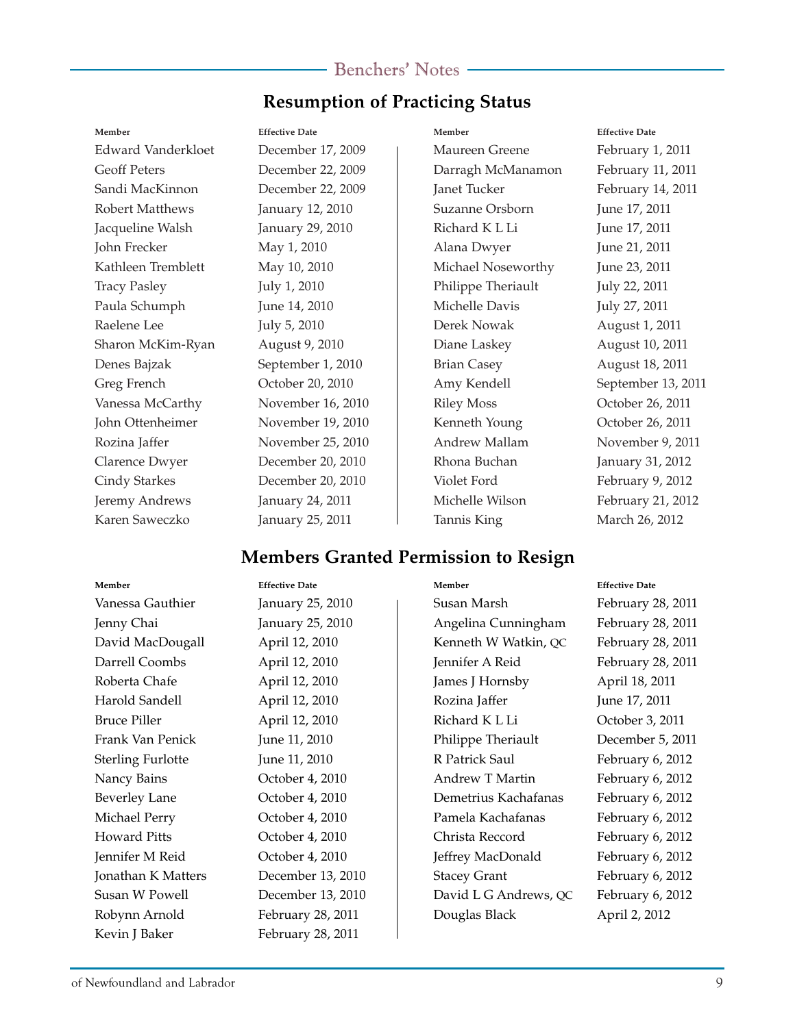## **Resumption of Practicing Status**

#### **Member Effective Date**

Edward Vanderkloet December 17, 2009 Geoff Peters December 22, 2009 Sandi MacKinnon December 22, 2009 Robert Matthews January 12, 2010 Jacqueline Walsh January 29, 2010 John Frecker May 1, 2010 Kathleen Tremblett May 10, 2010 Tracy Pasley July 1, 2010 Paula Schumph June 14, 2010 Raelene Lee July 5, 2010 Sharon McKim-Ryan August 9, 2010 Denes Bajzak September 1, 2010 Greg French October 20, 2010 Vanessa McCarthy November 16, 2010 John Ottenheimer November 19, 2010 Rozina Jaffer November 25, 2010 Clarence Dwyer December 20, 2010 Cindy Starkes December 20, 2010 Jeremy Andrews January 24, 2011 Karen Saweczko January 25, 2011

**Member Effective Date** Maureen Greene February 1, 2011 Darragh McManamon February 11, 2011 Janet Tucker February 14, 2011 Suzanne Orsborn June 17, 2011 Richard K L Li June 17, 2011 Alana Dwyer June 21, 2011 Michael Noseworthy June 23, 2011 Philippe Theriault *July 22, 2011* Michelle Davis July 27, 2011 Derek Nowak August 1, 2011 Diane Laskey August 10, 2011 Brian Casey August 18, 2011 Amy Kendell September 13, 2011 Riley Moss October 26, 2011 Kenneth Young October 26, 2011 Andrew Mallam November 9, 2011 Rhona Buchan January 31, 2012 Violet Ford February 9, 2012 Michelle Wilson February 21, 2012 Tannis King March 26, 2012

#### **Members Granted Permission to Resign**

#### **Member Effective Date**

Vanessa Gauthier January 25, 2010 Jenny Chai January 25, 2010 David MacDougall April 12, 2010 Darrell Coombs April 12, 2010 Roberta Chafe **April 12, 2010** Harold Sandell April 12, 2010 Bruce Piller April 12, 2010 Frank Van Penick June 11, 2010 Sterling Furlotte June 11, 2010 Nancy Bains **October 4, 2010** Beverley Lane **October 4, 2010** Michael Perry **October 4, 2010** Howard Pitts October 4, 2010 Jennifer M Reid October 4, 2010 Jonathan K Matters December 13, 2010 Susan W Powell December 13, 2010 Robynn Arnold February 28, 2011 Kevin J Baker February 28, 2011

#### **Member Effective Date**

Susan Marsh February 28, 2011 Angelina Cunningham February 28, 2011 Kenneth W Watkin, QC February 28, 2011 Jennifer A Reid February 28, 2011 James J Hornsby April 18, 2011 Rozina Jaffer June 17, 2011 Richard K L Li October 3, 2011 Philippe Theriault December 5, 2011 R Patrick Saul February 6, 2012 Andrew T Martin February 6, 2012 Demetrius Kachafanas February 6, 2012 Pamela Kachafanas February 6, 2012 Christa Reccord February 6, 2012 Jeffrey MacDonald February 6, 2012 Stacey Grant February 6, 2012 David L G Andrews, QC February 6, 2012 Douglas Black April 2, 2012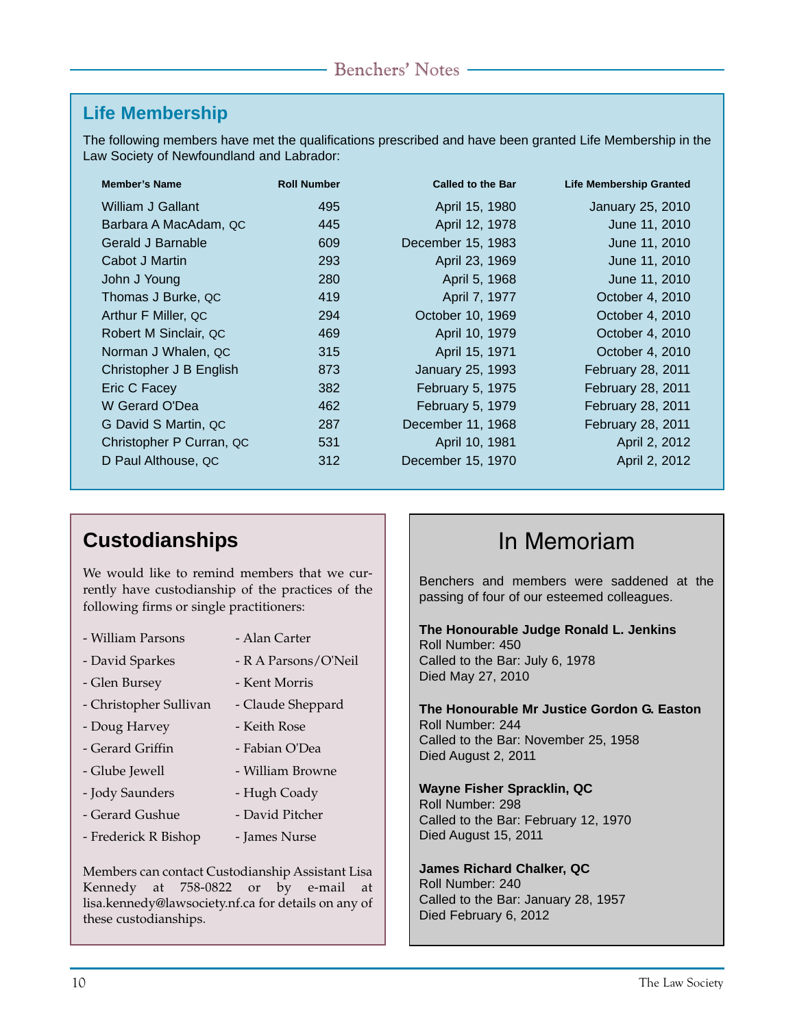# **Life Membership**

The following members have met the qualifications prescribed and have been granted Life Membership in the Law Society of Newfoundland and Labrador:

| <b>Member's Name</b>     | <b>Roll Number</b> | <b>Called to the Bar</b> | <b>Life Membership Granted</b> |
|--------------------------|--------------------|--------------------------|--------------------------------|
| William J Gallant        | 495                | April 15, 1980           | January 25, 2010               |
| Barbara A MacAdam, QC    | 445                | April 12, 1978           | June 11, 2010                  |
| Gerald J Barnable        | 609                | December 15, 1983        | June 11, 2010                  |
| Cabot J Martin           | 293                | April 23, 1969           | June 11, 2010                  |
| John J Young             | 280                | April 5, 1968            | June 11, 2010                  |
| Thomas J Burke, QC       | 419                | April 7, 1977            | October 4, 2010                |
| Arthur F Miller, QC      | 294                | October 10, 1969         | October 4, 2010                |
| Robert M Sinclair, QC    | 469                | April 10, 1979           | October 4, 2010                |
| Norman J Whalen, QC      | 315                | April 15, 1971           | October 4, 2010                |
| Christopher J B English  | 873                | January 25, 1993         | February 28, 2011              |
| Eric C Facey             | 382                | February 5, 1975         | February 28, 2011              |
| W Gerard O'Dea           | 462                | February 5, 1979         | February 28, 2011              |
| G David S Martin, QC     | 287                | December 11, 1968        | February 28, 2011              |
| Christopher P Curran, QC | 531                | April 10, 1981           | April 2, 2012                  |
| D Paul Althouse, QC      | 312                | December 15, 1970        | April 2, 2012                  |

# **Custodianships In Memoriam**

We would like to remind members that we currently have custodianship of the practices of the following firms or single practitioners:

- William Parsons - Alan Carter
- David Sparkes
- Glen Bursey
- Kent Morris

- Keith Rose - Fabian O'Dea - William Browne - Hugh Coady - David Pitcher

- R A Parsons/O'Neil

- Christopher Sullivan - Claude Sheppard
- Doug Harvey
- Gerard Griffin
- Glube Jewell
- Jody Saunders
- Gerard Gushue
- Frederick R Bishop - James Nurse

Members can contact Custodianship Assistant Lisa Kennedy at 758-0822 or by e-mail at lisa.kennedy@lawsociety.nf.ca for details on any of these custodianships.

Benchers and members were saddened at the passing of four of our esteemed colleagues.

**The Honourable Judge Ronald L. Jenkins** Roll Number: 450 Called to the Bar: July 6, 1978 Died May 27, 2010

**The Honourable Mr Justice Gordon G. Easton** Roll Number: 244 Called to the Bar: November 25, 1958 Died August 2, 2011

**Wayne Fisher Spracklin, QC** Roll Number: 298 Called to the Bar: February 12, 1970 Died August 15, 2011

**James Richard Chalker, QC** Roll Number: 240 Called to the Bar: January 28, 1957 Died February 6, 2012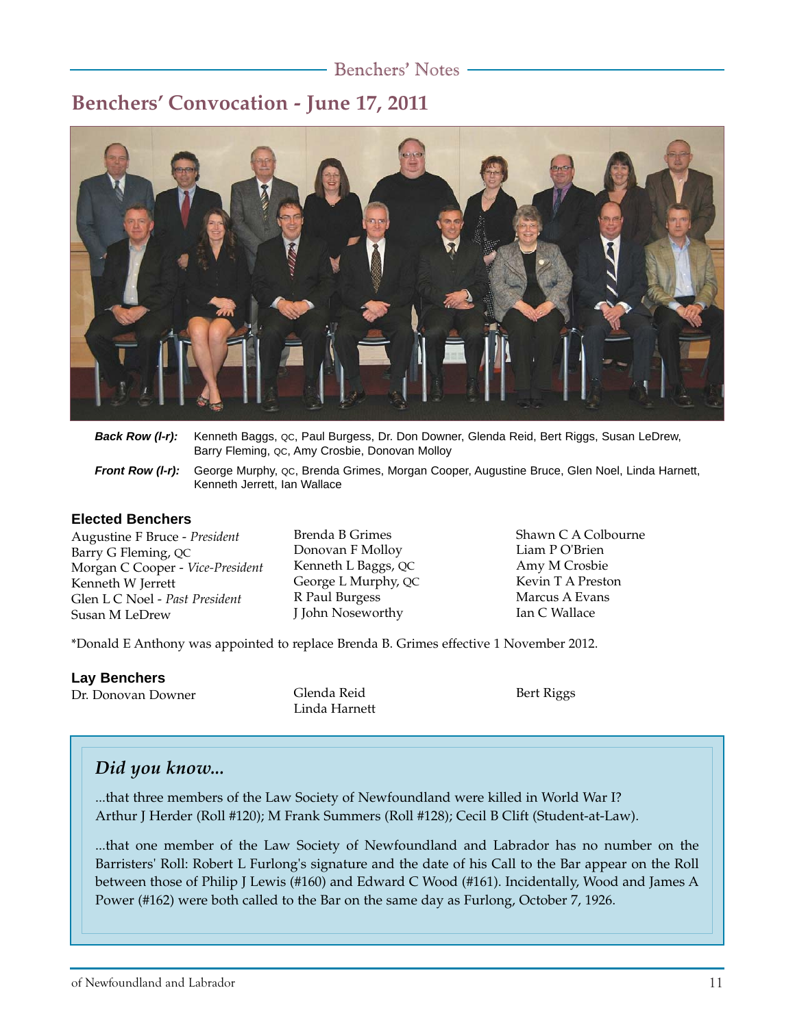# **Benchers' Convocation - June 17, 2011**



| Back Row (I-r): Kenneth Baggs, QC, Paul Burgess, Dr. Don Downer, Glenda Reid, Bert Riggs, Susan LeDrew, |
|---------------------------------------------------------------------------------------------------------|
| Barry Fleming, QC, Amy Crosbie, Donovan Molloy                                                          |

*Front Row (l-r):* George Murphy, QC, Brenda Grimes, Morgan Cooper, Augustine Bruce, Glen Noel, Linda Harnett, Kenneth Jerrett, Ian Wallace

#### **Elected Benchers**

Augustine F Bruce - *President* Barry G Fleming, QC Morgan C Cooper - *Vice-President* Kenneth W Jerrett Glen L C Noel - *Past President* Susan M LeDrew

Brenda B Grimes Donovan F Molloy Kenneth L Baggs, QC George L Murphy, QC R Paul Burgess J John Noseworthy

Shawn C A Colbourne Liam P O'Brien Amy M Crosbie Kevin T A Preston Marcus A Evans Ian C Wallace

\*Donald E Anthony was appointed to replace Brenda B. Grimes effective 1 November 2012.

#### **Lay Benchers**

Dr. Donovan Downer Glenda Reid

Linda Harnett

Bert Riggs

## *Did you know...*

...that three members of the Law Society of Newfoundland were killed in World War I? Arthur J Herder (Roll #120); M Frank Summers (Roll #128); Cecil B Clift (Student-at-Law).

...that one member of the Law Society of Newfoundland and Labrador has no number on the Barristers' Roll: Robert L Furlong's signature and the date of his Call to the Bar appear on the Roll between those of Philip J Lewis (#160) and Edward C Wood (#161). Incidentally, Wood and James A Power (#162) were both called to the Bar on the same day as Furlong, October 7, 1926.